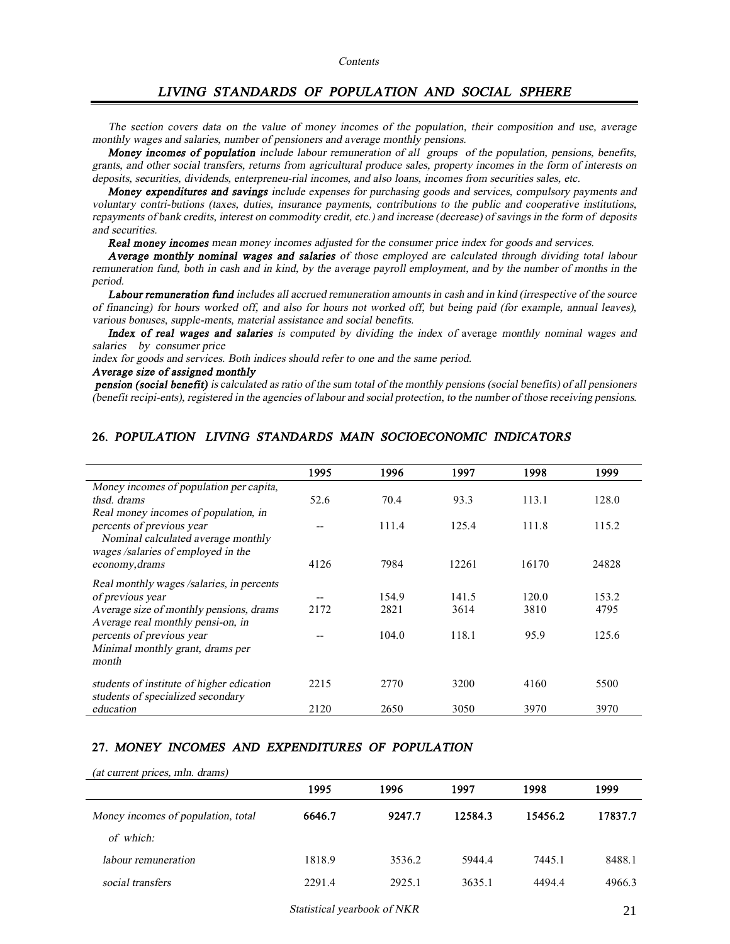## *LIVING STANDARDS OF POPULATION AND SOCIAL SPHERE*

The section covers data on the value of money incomes of the population, their composition and use, average *monthly wages and salaries, number of pensioners and average monthly pensions.* 

*Money incomes of population include labour remuneration of all groups of the population, pensions, benefits,*  grants, and other social transfers, returns from agricultural produce sales, property incomes in the form of interests on *deposits, securities, dividends, enterpreneu-rial incomes, and also loans, incomes from securities sales, etc.* 

*Money expenditures and savings include expenses for purchasing goods and services, compulsory payments and voluntary contri-butions (taxes, duties, insurance payments, contributions to the public and cooperative institutions,*  repayments of bank credits, interest on commodity credit, etc.) and increase (decrease) of savings in the form of deposits *and securities.* 

*Real money incomes mean money incomes adjusted for the consumer price index for goods and services.* 

*Average monthly nominal wages and salaries of those employed are calculated through dividing total labour*  remuneration fund, both in cash and in kind, by the average payroll employment, and by the number of months in the *period.* 

*Labour remuneration fund includes all accrued remuneration amounts in cash and in kind (irrespective of the source*  of financing) for hours worked off, and also for hours not worked off, but being paid (for example, annual leaves), *various bonuses, supple-ments, material assistance and social benefits.* 

*Index of real wages and salaries is computed by dividing the index of* average *monthly nominal wages and salaries by consumer price* 

*index for goods and services. Both indices should refer to one and the same period.* 

#### *Average size of assigned monthly*

*(at current prices, mln. drams)* 

pension (social benefit) is calculated as ratio of the sum total of the monthly pensions (social benefits) of all pensioners (benefit recipi-ents), registered in the agencies of labour and social protection, to the number of those receiving pensions.

|                                           | 1995 | 1996  | 1997  | 1998  | 1999  |
|-------------------------------------------|------|-------|-------|-------|-------|
| Money incomes of population per capita,   |      |       |       |       |       |
| thsd. drams                               | 52.6 | 70.4  | 93.3  | 113.1 | 128.0 |
| Real money incomes of population, in      |      |       |       |       |       |
| percents of previous year                 | --   | 111.4 | 125.4 | 111.8 | 115.2 |
| Nominal calculated average monthly        |      |       |       |       |       |
| wages /salaries of employed in the        |      |       |       |       |       |
| economy, drams                            | 4126 | 7984  | 12261 | 16170 | 24828 |
| Real monthly wages /salaries, in percents |      |       |       |       |       |
| of previous year                          | --   | 154.9 | 141.5 | 120.0 | 153.2 |
| Average size of monthly pensions, drams   | 2172 | 2821  | 3614  | 3810  | 4795  |
| Average real monthly pensi-on, in         |      |       |       |       |       |
| percents of previous year                 |      | 104.0 | 118.1 | 95.9  | 125.6 |
| Minimal monthly grant, drams per          |      |       |       |       |       |
| month                                     |      |       |       |       |       |
| students of institute of higher edication | 2215 | 2770  | 3200  | 4160  | 5500  |
| students of specialized secondary         |      |       |       |       |       |
| education                                 | 2120 | 2650  | 3050  | 3970  | 3970  |

#### **26.** *POPULATION LIVING STANDARDS MAIN SOCIOECONOMIC INDICATORS*

## **27.** *MONEY INCOMES AND EXPENDITURES OF POPULATION*

| $\frac{1}{2}$                      |        |        |         |         |         |
|------------------------------------|--------|--------|---------|---------|---------|
|                                    | 1995   | 1996   | 1997    | 1998    | 1999    |
| Money incomes of population, total | 6646.7 | 9247.7 | 12584.3 | 15456.2 | 17837.7 |
| of which:                          |        |        |         |         |         |
| labour remuneration                | 1818.9 | 3536.2 | 5944.4  | 7445.1  | 8488.1  |
| social transfers                   | 2291.4 | 2925.1 | 3635.1  | 4494.4  | 4966.3  |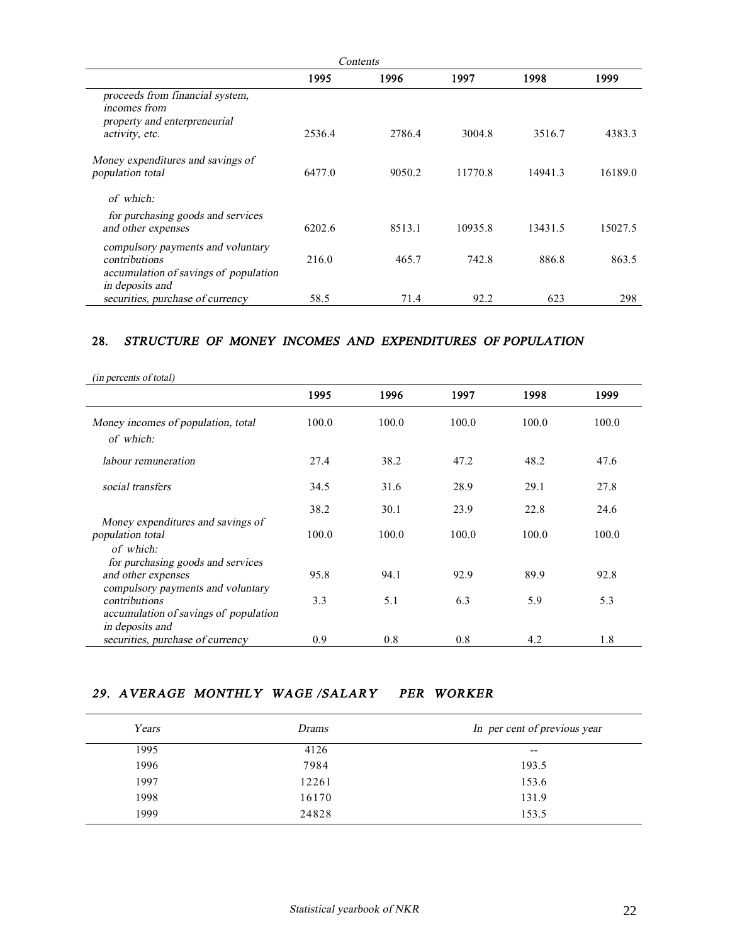|                                                                                                                |        | Contents |         |         |         |
|----------------------------------------------------------------------------------------------------------------|--------|----------|---------|---------|---------|
|                                                                                                                | 1995   | 1996     | 1997    | 1998    | 1999    |
| proceeds from financial system,<br>incomes from<br>property and enterpreneurial<br>activity, etc.              | 2536.4 | 2786.4   | 3004.8  | 3516.7  | 4383.3  |
|                                                                                                                |        |          |         |         |         |
| Money expenditures and savings of<br>population total                                                          | 6477.0 | 9050.2   | 11770.8 | 14941.3 | 16189.0 |
| of which:                                                                                                      |        |          |         |         |         |
| for purchasing goods and services<br>and other expenses                                                        | 6202.6 | 8513.1   | 10935.8 | 13431.5 | 15027.5 |
| compulsory payments and voluntary<br>contributions<br>accumulation of savings of population<br>in deposits and | 216.0  | 465.7    | 742.8   | 886.8   | 863.5   |
| securities, purchase of currency                                                                               | 58.5   | 71.4     | 92.2    | 623     | 298     |

## **28.** *STRUCTURE OF MONEY INCOMES AND EXPENDITURES OF POPULATION*

| (in percents of total)                                                                       |       |       |       |       |       |
|----------------------------------------------------------------------------------------------|-------|-------|-------|-------|-------|
|                                                                                              | 1995  | 1996  | 1997  | 1998  | 1999  |
| Money incomes of population, total<br>of which:                                              | 100.0 | 100.0 | 100.0 | 100.0 | 100.0 |
| labour remuneration                                                                          | 27.4  | 38.2  | 47.2  | 48.2  | 47.6  |
| social transfers                                                                             | 34.5  | 31.6  | 28.9  | 29.1  | 27.8  |
| Money expenditures and savings of                                                            | 38.2  | 30.1  | 23.9  | 22.8  | 24.6  |
| population total<br>of which:                                                                | 100.0 | 100.0 | 100.0 | 100.0 | 100.0 |
| for purchasing goods and services<br>and other expenses<br>compulsory payments and voluntary | 95.8  | 94.1  | 92.9  | 89.9  | 92.8  |
| contributions<br>accumulation of savings of population<br>in deposits and                    | 3.3   | 5.1   | 6.3   | 5.9   | 5.3   |
| securities, purchase of currency                                                             | 0.9   | 0.8   | 0.8   | 4.2   | 1.8   |

## *29. AVERAGE MONTHLY WAGE /SALARY PER WORKER*

| Years | <i>Drams</i> | In per cent of previous year |
|-------|--------------|------------------------------|
| 1995  | 4126         | $- -$                        |
| 1996  | 7984         | 193.5                        |
| 1997  | 12261        | 153.6                        |
| 1998  | 16170        | 131.9                        |
| 1999  | 24828        | 153.5                        |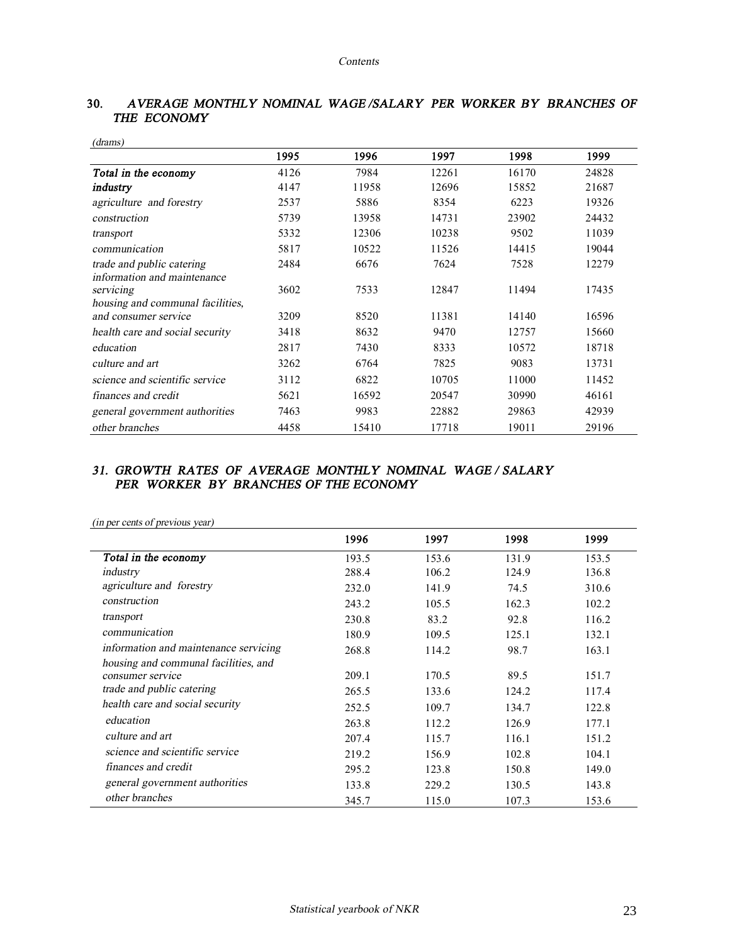| (drams)                          |      |       |       |       |       |
|----------------------------------|------|-------|-------|-------|-------|
|                                  | 1995 | 1996  | 1997  | 1998  | 1999  |
| Total in the economy             | 4126 | 7984  | 12261 | 16170 | 24828 |
| industry                         | 4147 | 11958 | 12696 | 15852 | 21687 |
| agriculture and forestry         | 2537 | 5886  | 8354  | 6223  | 19326 |
| construction                     | 5739 | 13958 | 14731 | 23902 | 24432 |
| transport                        | 5332 | 12306 | 10238 | 9502  | 11039 |
| communication                    | 5817 | 10522 | 11526 | 14415 | 19044 |
| trade and public catering        | 2484 | 6676  | 7624  | 7528  | 12279 |
| information and maintenance      |      |       |       |       |       |
| servicing                        | 3602 | 7533  | 12847 | 11494 | 17435 |
| housing and communal facilities, |      |       |       |       |       |
| and consumer service             | 3209 | 8520  | 11381 | 14140 | 16596 |
| health care and social security  | 3418 | 8632  | 9470  | 12757 | 15660 |
| education                        | 2817 | 7430  | 8333  | 10572 | 18718 |
| culture and art                  | 3262 | 6764  | 7825  | 9083  | 13731 |
| science and scientific service   | 3112 | 6822  | 10705 | 11000 | 11452 |
| finances and credit              | 5621 | 16592 | 20547 | 30990 | 46161 |
| general government authorities   | 7463 | 9983  | 22882 | 29863 | 42939 |
| other branches                   | 4458 | 15410 | 17718 | 19011 | 29196 |

## **30.** *AVERAGE MONTHLY NOMINAL WAGE /SALARY PER WORKER BY BRANCHES OF THE ECONOMY*

## *31.**GROWTH RATES OF AVERAGE MONTHLY NOMINAL WAGE / SALARY PER WORKER BY BRANCHES OF THE ECONOMY*

|                                       | 1996  | 1997  | 1998  | 1999  |
|---------------------------------------|-------|-------|-------|-------|
| Total in the economy                  | 193.5 | 153.6 | 131.9 | 153.5 |
| industry                              | 288.4 | 106.2 | 124.9 | 136.8 |
| agriculture and forestry              | 232.0 | 141.9 | 74.5  | 310.6 |
| construction                          | 243.2 | 105.5 | 162.3 | 102.2 |
| transport                             | 230.8 | 83.2  | 92.8  | 116.2 |
| communication                         | 180.9 | 109.5 | 125.1 | 132.1 |
| information and maintenance servicing | 268.8 | 114.2 | 98.7  | 163.1 |
| housing and communal facilities, and  |       |       |       |       |
| consumer service                      | 209.1 | 170.5 | 89.5  | 151.7 |
| trade and public catering             | 265.5 | 133.6 | 124.2 | 117.4 |
| health care and social security       | 252.5 | 109.7 | 134.7 | 122.8 |
| education                             | 263.8 | 112.2 | 126.9 | 177.1 |
| culture and art                       | 207.4 | 115.7 | 116.1 | 151.2 |
| science and scientific service        | 219.2 | 156.9 | 102.8 | 104.1 |
| finances and credit                   | 295.2 | 123.8 | 150.8 | 149.0 |
| general government authorities        | 133.8 | 229.2 | 130.5 | 143.8 |
| other branches                        | 345.7 | 115.0 | 107.3 | 153.6 |

*(in per cents of previous year)*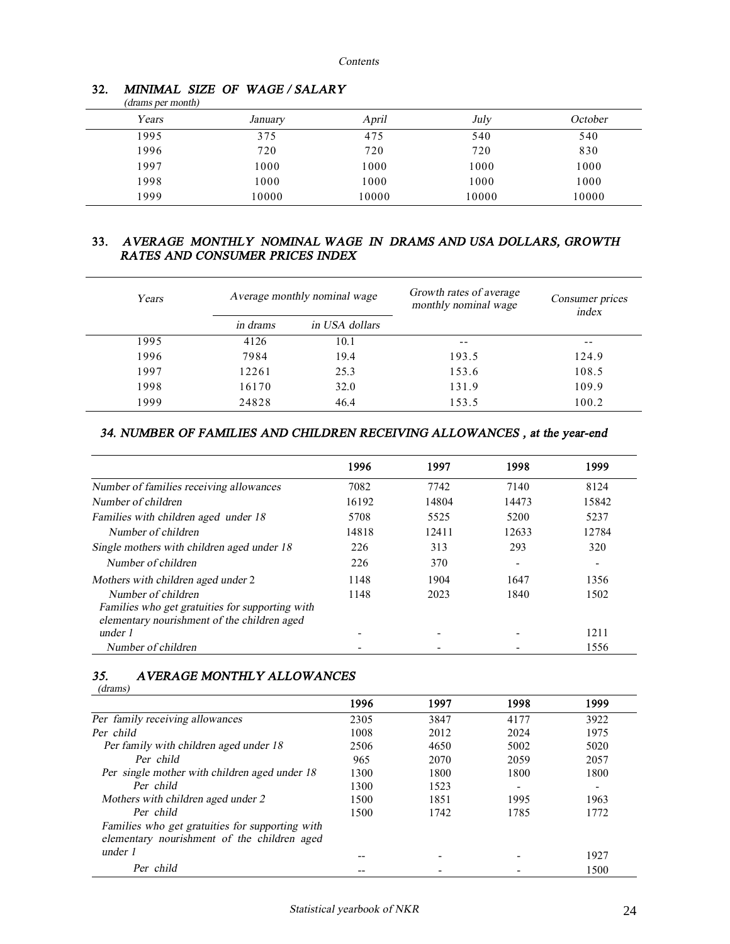| (drams per month) |         |       |       |         |
|-------------------|---------|-------|-------|---------|
| Years             | January | April | July  | October |
| 1995              | 375     | 475   | 540   | 540     |
| 1996              | 720     | 720   | 720   | 830     |
| 1997              | 1000    | 1000  | 1000  | 1000    |
| 1998              | 1000    | 1000  | 1000  | 1000    |
| 1999              | 10000   | 10000 | 10000 | 10000   |

#### **32.** *MINIMAL SIZE OF WAGE / SALARY*

## **33.** *AVERAGE MONTHLY NOMINAL WAGE IN DRAMS AND USA DOLLARS, GROWTH RATES AND CONSUMER PRICES INDEX*

| Years | Average monthly nominal wage |                | Growth rates of average<br>monthly nominal wage | Consumer prices<br>index |  |
|-------|------------------------------|----------------|-------------------------------------------------|--------------------------|--|
|       | <i>in drams</i>              | in USA dollars |                                                 |                          |  |
| 1995  | 4126                         | 10.1           | $ -$                                            | --                       |  |
| 1996  | 7984                         | 19.4           | 193.5                                           | 124.9                    |  |
| 1997  | 12261                        | 25.3           | 153.6                                           | 108.5                    |  |
| 1998  | 16170                        | 32.0           | 131.9                                           | 109.9                    |  |
| 1999  | 24828                        | 46.4           | 153.5                                           | 100.2                    |  |

## *34. NUMBER OF FAMILIES AND CHILDREN RECEIVING ALLOWANCES , at the year-end*

|                                                                                                | 1996  | 1997  | 1998                     | 1999                     |
|------------------------------------------------------------------------------------------------|-------|-------|--------------------------|--------------------------|
| Number of families receiving allowances                                                        | 7082  | 7742  | 7140                     | 8124                     |
| Number of children                                                                             | 16192 | 14804 | 14473                    | 15842                    |
| Families with children aged under 18                                                           | 5708  | 5525  | 5200                     | 5237                     |
| Number of children                                                                             | 14818 | 12411 | 12633                    | 12784                    |
| Single mothers with children aged under 18                                                     | 226   | 313   | 293                      | 320                      |
| Number of children                                                                             | 226   | 370   | $\overline{\phantom{a}}$ | $\overline{\phantom{0}}$ |
| Mothers with children aged under 2                                                             | 1148  | 1904  | 1647                     | 1356                     |
| Number of children                                                                             | 1148  | 2023  | 1840                     | 1502                     |
| Families who get gratuities for supporting with<br>elementary nourishment of the children aged |       |       |                          |                          |
| under 1                                                                                        |       |       |                          | 1211                     |
| Number of children                                                                             |       |       |                          | 1556                     |

#### *35. AVERAGE MONTHLY ALLOWANCES*

| (drams)                                                                                        |      |      |      |      |
|------------------------------------------------------------------------------------------------|------|------|------|------|
|                                                                                                | 1996 | 1997 | 1998 | 1999 |
| Per family receiving allowances                                                                | 2305 | 3847 | 4177 | 3922 |
| Per child                                                                                      | 1008 | 2012 | 2024 | 1975 |
| Per family with children aged under 18                                                         | 2506 | 4650 | 5002 | 5020 |
| Per child                                                                                      | 965  | 2070 | 2059 | 2057 |
| Per single mother with children aged under 18                                                  | 1300 | 1800 | 1800 | 1800 |
| Per child                                                                                      | 1300 | 1523 |      |      |
| Mothers with children aged under 2                                                             | 1500 | 1851 | 1995 | 1963 |
| Per child                                                                                      | 1500 | 1742 | 1785 | 1772 |
| Families who get gratuities for supporting with<br>elementary nourishment of the children aged |      |      |      |      |
| under 1                                                                                        |      |      |      | 1927 |
| Per child                                                                                      |      |      |      | 1500 |